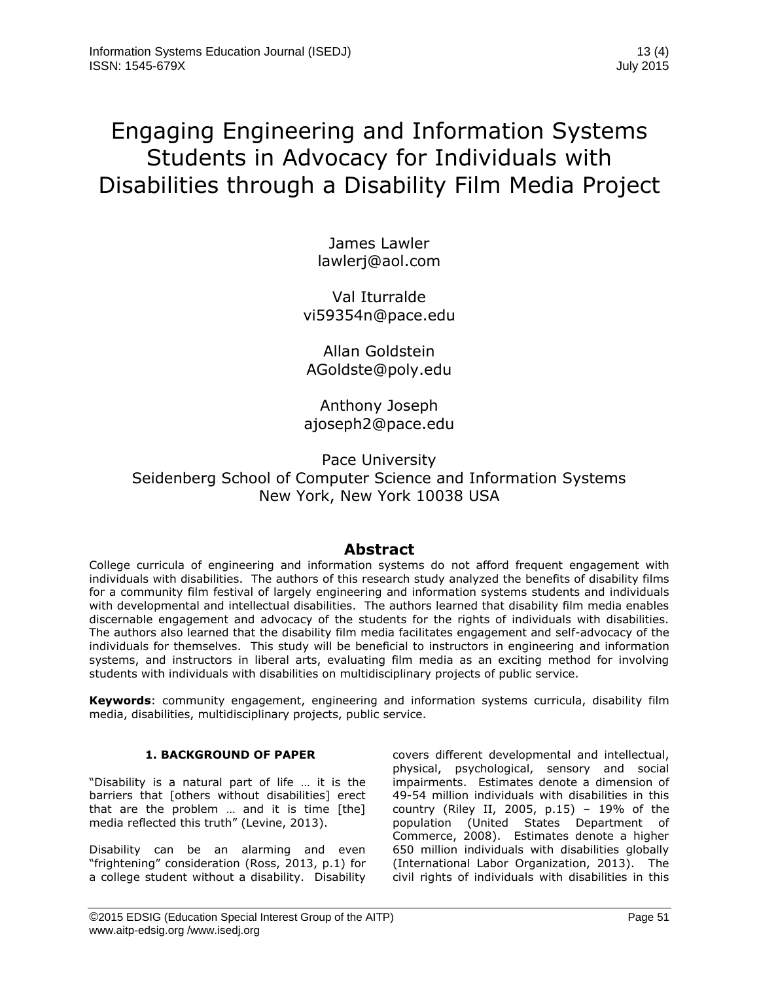# Engaging Engineering and Information Systems Students in Advocacy for Individuals with Disabilities through a Disability Film Media Project

James Lawler [lawlerj@aol.com](mailto:lawlerj@aol.com)

Val Iturralde [vi59354n@pace.edu](mailto:vi59354n@pace.edu)

Allan Goldstein [AGoldste@poly.edu](mailto:AGoldste@poly.edu)

Anthony Joseph [ajoseph2@pace.edu](mailto:ajoseph2@pace.edu)

Pace University Seidenberg School of Computer Science and Information Systems New York, New York 10038 USA

# **Abstract**

College curricula of engineering and information systems do not afford frequent engagement with individuals with disabilities. The authors of this research study analyzed the benefits of disability films for a community film festival of largely engineering and information systems students and individuals with developmental and intellectual disabilities. The authors learned that disability film media enables discernable engagement and advocacy of the students for the rights of individuals with disabilities. The authors also learned that the disability film media facilitates engagement and self-advocacy of the individuals for themselves. This study will be beneficial to instructors in engineering and information systems, and instructors in liberal arts, evaluating film media as an exciting method for involving students with individuals with disabilities on multidisciplinary projects of public service.

**Keywords**: community engagement, engineering and information systems curricula, disability film media, disabilities, multidisciplinary projects, public service.

#### **1. BACKGROUND OF PAPER**

"Disability is a natural part of life … it is the barriers that [others without disabilities] erect that are the problem … and it is time [the] media reflected this truth" (Levine, 2013).

Disability can be an alarming and even "frightening" consideration (Ross, 2013, p.1) for a college student without a disability. Disability covers different developmental and intellectual, physical, psychological, sensory and social impairments. Estimates denote a dimension of 49-54 million individuals with disabilities in this country (Riley II, 2005, p.15) – 19% of the population (United States Department of Commerce, 2008). Estimates denote a higher 650 million individuals with disabilities globally (International Labor Organization, 2013). The civil rights of individuals with disabilities in this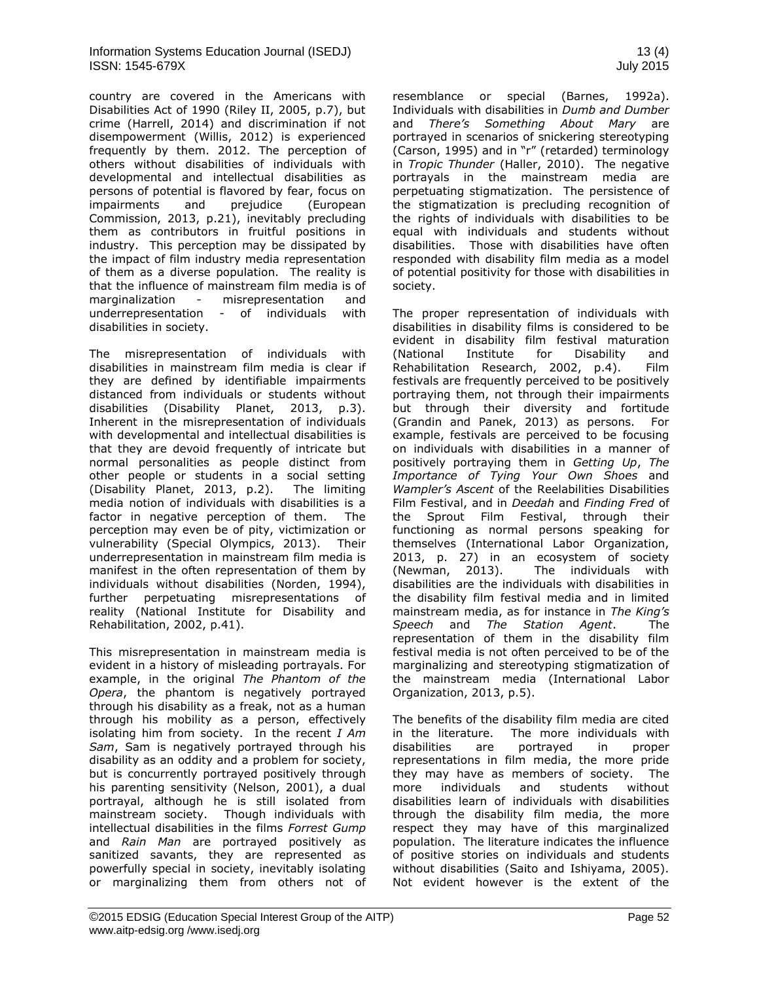country are covered in the Americans with Disabilities Act of 1990 (Riley II, 2005, p.7), but crime (Harrell, 2014) and discrimination if not disempowerment (Willis, 2012) is experienced frequently by them. 2012. The perception of others without disabilities of individuals with developmental and intellectual disabilities as persons of potential is flavored by fear, focus on impairments and prejudice (European Commission, 2013, p.21), inevitably precluding them as contributors in fruitful positions in industry. This perception may be dissipated by the impact of film industry media representation of them as a diverse population. The reality is that the influence of mainstream film media is of marginalization - misrepresentation and underrepresentation - of individuals with disabilities in society.

The misrepresentation of individuals with disabilities in mainstream film media is clear if they are defined by identifiable impairments distanced from individuals or students without disabilities (Disability Planet, 2013, p.3). Inherent in the misrepresentation of individuals with developmental and intellectual disabilities is that they are devoid frequently of intricate but normal personalities as people distinct from other people or students in a social setting (Disability Planet, 2013, p.2). The limiting media notion of individuals with disabilities is a factor in negative perception of them. The perception may even be of pity, victimization or vulnerability (Special Olympics, 2013). Their underrepresentation in mainstream film media is manifest in the often representation of them by individuals without disabilities (Norden, 1994), further perpetuating misrepresentations of reality (National Institute for Disability and Rehabilitation, 2002, p.41).

This misrepresentation in mainstream media is evident in a history of misleading portrayals. For example, in the original *The Phantom of the Opera*, the phantom is negatively portrayed through his disability as a freak, not as a human through his mobility as a person, effectively isolating him from society. In the recent *I Am Sam*, Sam is negatively portrayed through his disability as an oddity and a problem for society, but is concurrently portrayed positively through his parenting sensitivity (Nelson, 2001), a dual portrayal, although he is still isolated from mainstream society. Though individuals with intellectual disabilities in the films *Forrest Gump* and *Rain Man* are portrayed positively as sanitized savants, they are represented as powerfully special in society, inevitably isolating or marginalizing them from others not of resemblance or special (Barnes, 1992a). Individuals with disabilities in *Dumb and Dumber* and *There's Something About Mary* are portrayed in scenarios of snickering stereotyping (Carson, 1995) and in "r" (retarded) terminology in *Tropic Thunder* (Haller, 2010). The negative portrayals in the mainstream media are perpetuating stigmatization. The persistence of the stigmatization is precluding recognition of the rights of individuals with disabilities to be equal with individuals and students without disabilities. Those with disabilities have often responded with disability film media as a model of potential positivity for those with disabilities in society.

The proper representation of individuals with disabilities in disability films is considered to be evident in disability film festival maturation (National Institute for Disability and Rehabilitation Research, 2002, p.4). Film festivals are frequently perceived to be positively portraying them, not through their impairments but through their diversity and fortitude (Grandin and Panek, 2013) as persons. For example, festivals are perceived to be focusing on individuals with disabilities in a manner of positively portraying them in *Getting Up*, *The Importance of Tying Your Own Shoes* and *Wampler's Ascent* of the Reelabilities Disabilities Film Festival, and in *Deedah* and *Finding Fred* of the Sprout Film Festival, through their functioning as normal persons speaking for themselves (International Labor Organization, 2013, p. 27) in an ecosystem of society (Newman, 2013). The individuals with disabilities are the individuals with disabilities in the disability film festival media and in limited mainstream media, as for instance in *The King's Speech* and *The Station Agent*. The representation of them in the disability film festival media is not often perceived to be of the marginalizing and stereotyping stigmatization of the mainstream media (International Labor Organization, 2013, p.5).

The benefits of the disability film media are cited in the literature. The more individuals with disabilities are portrayed in proper representations in film media, the more pride they may have as members of society. The more individuals and students without disabilities learn of individuals with disabilities through the disability film media, the more respect they may have of this marginalized population. The literature indicates the influence of positive stories on individuals and students without disabilities (Saito and Ishiyama, 2005). Not evident however is the extent of the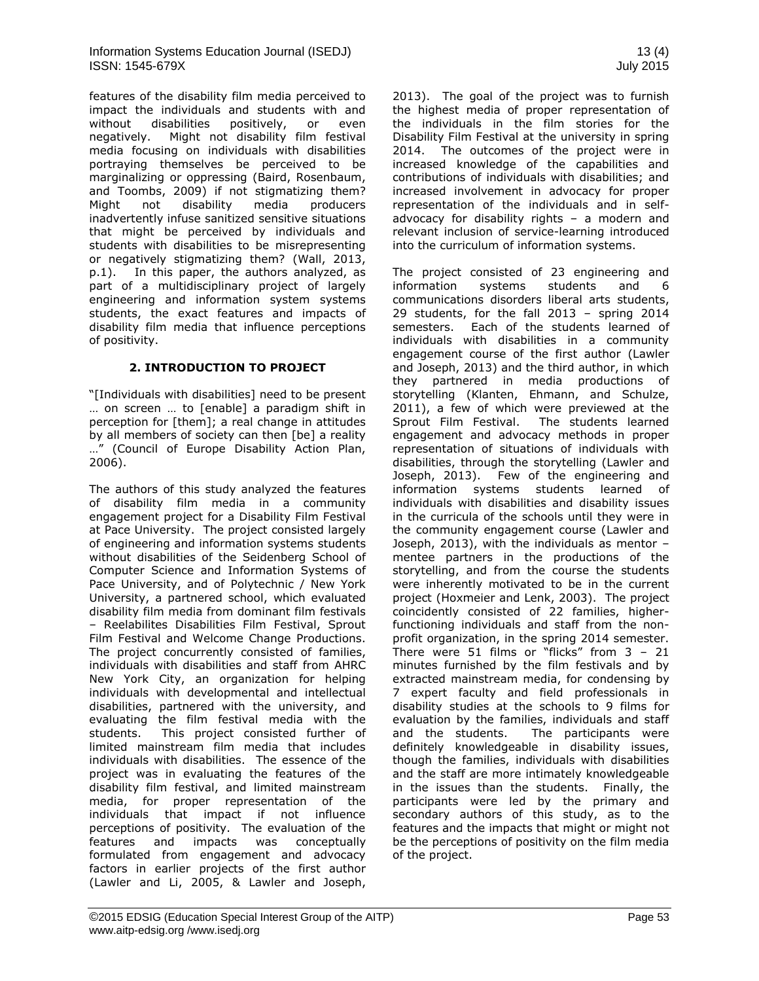features of the disability film media perceived to impact the individuals and students with and without disabilities positively, or even negatively. Might not disability film festival media focusing on individuals with disabilities portraying themselves be perceived to be marginalizing or oppressing (Baird, Rosenbaum, and Toombs, 2009) if not stigmatizing them? Might not disability media producers inadvertently infuse sanitized sensitive situations that might be perceived by individuals and students with disabilities to be misrepresenting or negatively stigmatizing them? (Wall, 2013, p.1). In this paper, the authors analyzed, as part of a multidisciplinary project of largely engineering and information system systems students, the exact features and impacts of disability film media that influence perceptions of positivity.

# **2. INTRODUCTION TO PROJECT**

"[Individuals with disabilities] need to be present … on screen … to [enable] a paradigm shift in perception for [them]; a real change in attitudes by all members of society can then [be] a reality …" (Council of Europe Disability Action Plan, 2006).

The authors of this study analyzed the features of disability film media in a community engagement project for a Disability Film Festival at Pace University. The project consisted largely of engineering and information systems students without disabilities of the Seidenberg School of Computer Science and Information Systems of Pace University, and of Polytechnic / New York University, a partnered school, which evaluated disability film media from dominant film festivals – Reelabilites Disabilities Film Festival, Sprout Film Festival and Welcome Change Productions. The project concurrently consisted of families, individuals with disabilities and staff from AHRC New York City, an organization for helping individuals with developmental and intellectual disabilities, partnered with the university, and evaluating the film festival media with the students. This project consisted further of limited mainstream film media that includes individuals with disabilities. The essence of the project was in evaluating the features of the disability film festival, and limited mainstream media, for proper representation of the individuals that impact if not influence perceptions of positivity. The evaluation of the features and impacts was conceptually formulated from engagement and advocacy factors in earlier projects of the first author (Lawler and Li, 2005, & Lawler and Joseph,

2013). The goal of the project was to furnish the highest media of proper representation of the individuals in the film stories for the Disability Film Festival at the university in spring 2014. The outcomes of the project were in increased knowledge of the capabilities and contributions of individuals with disabilities; and increased involvement in advocacy for proper representation of the individuals and in selfadvocacy for disability rights – a modern and relevant inclusion of service-learning introduced into the curriculum of information systems.

The project consisted of 23 engineering and information systems students and 6 communications disorders liberal arts students, 29 students, for the fall 2013 – spring 2014 semesters. Each of the students learned of individuals with disabilities in a community engagement course of the first author (Lawler and Joseph, 2013) and the third author, in which they partnered in media productions of storytelling (Klanten, Ehmann, and Schulze, 2011), a few of which were previewed at the Sprout Film Festival. The students learned engagement and advocacy methods in proper representation of situations of individuals with disabilities, through the storytelling (Lawler and Joseph, 2013). Few of the engineering and information systems students learned of individuals with disabilities and disability issues in the curricula of the schools until they were in the community engagement course (Lawler and Joseph, 2013), with the individuals as mentor – mentee partners in the productions of the storytelling, and from the course the students were inherently motivated to be in the current project (Hoxmeier and Lenk, 2003). The project coincidently consisted of 22 families, higherfunctioning individuals and staff from the nonprofit organization, in the spring 2014 semester. There were 51 films or "flicks" from  $3 - 21$ minutes furnished by the film festivals and by extracted mainstream media, for condensing by 7 expert faculty and field professionals in disability studies at the schools to 9 films for evaluation by the families, individuals and staff and the students. The participants were definitely knowledgeable in disability issues, though the families, individuals with disabilities and the staff are more intimately knowledgeable in the issues than the students. Finally, the participants were led by the primary and secondary authors of this study, as to the features and the impacts that might or might not be the perceptions of positivity on the film media of the project.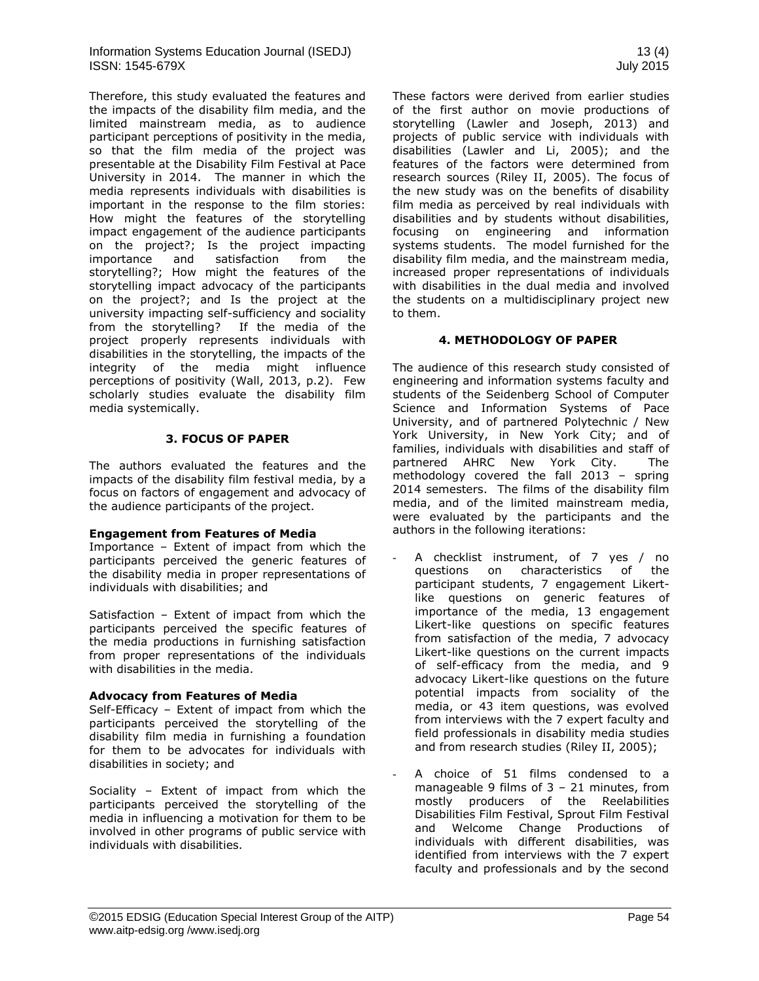Therefore, this study evaluated the features and the impacts of the disability film media, and the limited mainstream media, as to audience participant perceptions of positivity in the media, so that the film media of the project was presentable at the Disability Film Festival at Pace University in 2014. The manner in which the media represents individuals with disabilities is important in the response to the film stories: How might the features of the storytelling impact engagement of the audience participants on the project?; Is the project impacting importance and satisfaction from the storytelling?; How might the features of the storytelling impact advocacy of the participants on the project?; and Is the project at the university impacting self-sufficiency and sociality from the storytelling? If the media of the project properly represents individuals with disabilities in the storytelling, the impacts of the integrity of the media might influence perceptions of positivity (Wall, 2013, p.2). Few scholarly studies evaluate the disability film media systemically.

# **3. FOCUS OF PAPER**

The authors evaluated the features and the impacts of the disability film festival media, by a focus on factors of engagement and advocacy of the audience participants of the project.

#### **Engagement from Features of Media**

Importance – Extent of impact from which the participants perceived the generic features of the disability media in proper representations of individuals with disabilities; and

Satisfaction – Extent of impact from which the participants perceived the specific features of the media productions in furnishing satisfaction from proper representations of the individuals with disabilities in the media.

#### **Advocacy from Features of Media**

Self-Efficacy – Extent of impact from which the participants perceived the storytelling of the disability film media in furnishing a foundation for them to be advocates for individuals with disabilities in society; and

Sociality – Extent of impact from which the participants perceived the storytelling of the media in influencing a motivation for them to be involved in other programs of public service with individuals with disabilities.

These factors were derived from earlier studies of the first author on movie productions of storytelling (Lawler and Joseph, 2013) and projects of public service with individuals with disabilities (Lawler and Li, 2005); and the features of the factors were determined from research sources (Riley II, 2005). The focus of the new study was on the benefits of disability film media as perceived by real individuals with disabilities and by students without disabilities, focusing on engineering and information systems students. The model furnished for the disability film media, and the mainstream media, increased proper representations of individuals with disabilities in the dual media and involved the students on a multidisciplinary project new to them.

# **4. METHODOLOGY OF PAPER**

The audience of this research study consisted of engineering and information systems faculty and students of the Seidenberg School of Computer Science and Information Systems of Pace University, and of partnered Polytechnic / New York University, in New York City; and of families, individuals with disabilities and staff of partnered AHRC New York City. The methodology covered the fall 2013 – spring 2014 semesters. The films of the disability film media, and of the limited mainstream media, were evaluated by the participants and the authors in the following iterations:

- A checklist instrument, of 7 yes / no questions on characteristics of the participant students, 7 engagement Likertlike questions on generic features of importance of the media, 13 engagement Likert-like questions on specific features from satisfaction of the media, 7 advocacy Likert-like questions on the current impacts of self-efficacy from the media, and 9 advocacy Likert-like questions on the future potential impacts from sociality of the media, or 43 item questions, was evolved from interviews with the 7 expert faculty and field professionals in disability media studies and from research studies (Riley II, 2005);
- A choice of 51 films condensed to a manageable 9 films of 3 – 21 minutes, from mostly producers of the Reelabilities Disabilities Film Festival, Sprout Film Festival and Welcome Change Productions of individuals with different disabilities, was identified from interviews with the 7 expert faculty and professionals and by the second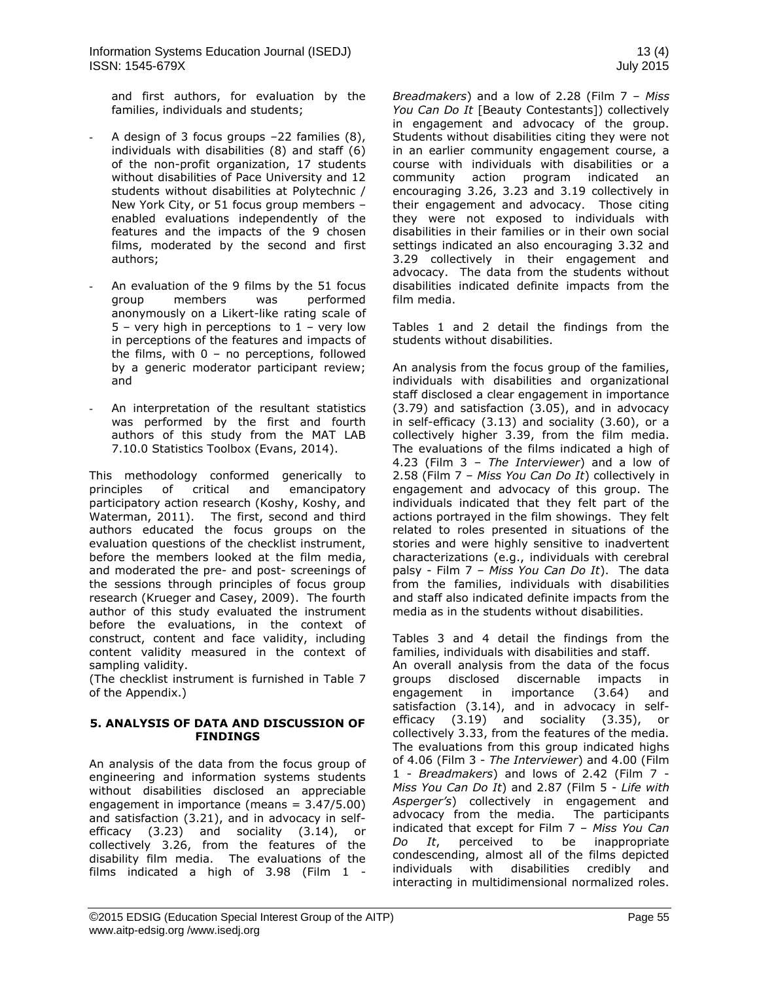Information Systems Education Journal (ISEDJ) 13 (4) ISSN: 1545-679X July 2015

and first authors, for evaluation by the families, individuals and students;

- A design of 3 focus groups  $-22$  families  $(8)$ , individuals with disabilities (8) and staff (6) of the non-profit organization, 17 students without disabilities of Pace University and 12 students without disabilities at Polytechnic / New York City, or 51 focus group members – enabled evaluations independently of the features and the impacts of the 9 chosen films, moderated by the second and first authors;
- An evaluation of the 9 films by the 51 focus group members was performed anonymously on a Likert-like rating scale of  $5$  – very high in perceptions to  $1$  – very low in perceptions of the features and impacts of the films, with 0 – no perceptions, followed by a generic moderator participant review; and
- An interpretation of the resultant statistics was performed by the first and fourth authors of this study from the MAT LAB 7.10.0 Statistics Toolbox (Evans, 2014).

This methodology conformed generically to principles of critical and emancipatory participatory action research (Koshy, Koshy, and Waterman, 2011). The first, second and third authors educated the focus groups on the evaluation questions of the checklist instrument, before the members looked at the film media, and moderated the pre- and post- screenings of the sessions through principles of focus group research (Krueger and Casey, 2009). The fourth author of this study evaluated the instrument before the evaluations, in the context of construct, content and face validity, including content validity measured in the context of sampling validity.

(The checklist instrument is furnished in Table 7 of the Appendix.)

#### **5. ANALYSIS OF DATA AND DISCUSSION OF FINDINGS**

An analysis of the data from the focus group of engineering and information systems students without disabilities disclosed an appreciable engagement in importance (means = 3.47/5.00) and satisfaction (3.21), and in advocacy in selfefficacy (3.23) and sociality (3.14), or collectively 3.26, from the features of the disability film media. The evaluations of the films indicated a high of 3.98 (Film 1 -

*Breadmakers*) and a low of 2.28 (Film 7 – *Miss You Can Do It* [Beauty Contestants]) collectively in engagement and advocacy of the group. Students without disabilities citing they were not in an earlier community engagement course, a course with individuals with disabilities or a community action program indicated an encouraging 3.26, 3.23 and 3.19 collectively in their engagement and advocacy. Those citing they were not exposed to individuals with disabilities in their families or in their own social settings indicated an also encouraging 3.32 and 3.29 collectively in their engagement and advocacy. The data from the students without disabilities indicated definite impacts from the film media.

Tables 1 and 2 detail the findings from the students without disabilities.

An analysis from the focus group of the families, individuals with disabilities and organizational staff disclosed a clear engagement in importance (3.79) and satisfaction (3.05), and in advocacy in self-efficacy (3.13) and sociality (3.60), or a collectively higher 3.39, from the film media. The evaluations of the films indicated a high of 4.23 (Film 3 – *The Interviewer*) and a low of 2.58 (Film 7 – *Miss You Can Do It*) collectively in engagement and advocacy of this group. The individuals indicated that they felt part of the actions portrayed in the film showings. They felt related to roles presented in situations of the stories and were highly sensitive to inadvertent characterizations (e.g., individuals with cerebral palsy - Film 7 *– Miss You Can Do It*). The data from the families, individuals with disabilities and staff also indicated definite impacts from the media as in the students without disabilities.

Tables 3 and 4 detail the findings from the families, individuals with disabilities and staff. An overall analysis from the data of the focus groups disclosed discernable impacts in engagement in importance (3.64) and satisfaction (3.14), and in advocacy in selfefficacy (3.19) and sociality (3.35), or collectively 3.33, from the features of the media. The evaluations from this group indicated highs of 4.06 (Film 3 - *The Interviewer*) and 4.00 (Film 1 - *Breadmakers*) and lows of 2.42 (Film 7 - *Miss You Can Do It*) and 2.87 (Film 5 - *Life with Asperger's*) collectively in engagement and advocacy from the media. The participants indicated that except for Film 7 – *Miss You Can Do It*, perceived to be inappropriate condescending, almost all of the films depicted individuals with disabilities credibly and interacting in multidimensional normalized roles.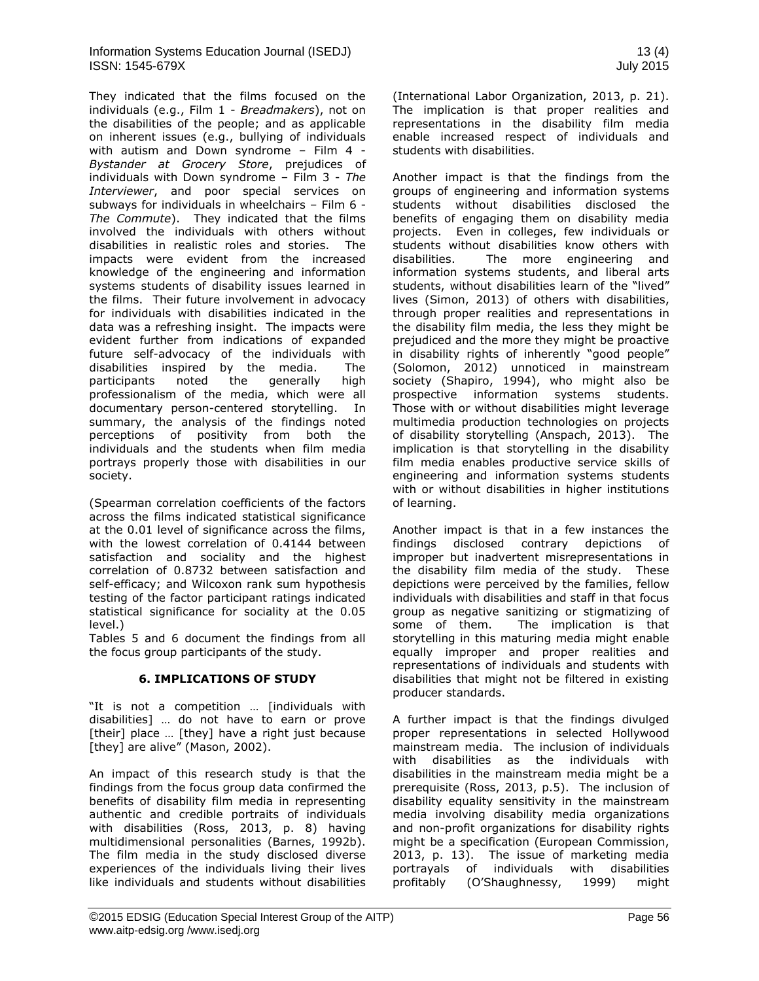They indicated that the films focused on the individuals (e.g., Film 1 - *Breadmakers*), not on the disabilities of the people; and as applicable on inherent issues (e.g., bullying of individuals with autism and Down syndrome – Film 4 - *Bystander at Grocery Store*, prejudices of individuals with Down syndrome – Film 3 - *The Interviewer*, and poor special services on subways for individuals in wheelchairs – Film 6 - *The Commute*). They indicated that the films involved the individuals with others without disabilities in realistic roles and stories. The impacts were evident from the increased knowledge of the engineering and information systems students of disability issues learned in the films. Their future involvement in advocacy for individuals with disabilities indicated in the data was a refreshing insight. The impacts were evident further from indications of expanded future self-advocacy of the individuals with disabilities inspired by the media. The participants noted the generally high professionalism of the media, which were all documentary person-centered storytelling. In summary, the analysis of the findings noted perceptions of positivity from both the individuals and the students when film media portrays properly those with disabilities in our society.

(Spearman correlation coefficients of the factors across the films indicated statistical significance at the 0.01 level of significance across the films, with the lowest correlation of 0.4144 between satisfaction and sociality and the highest correlation of 0.8732 between satisfaction and self-efficacy; and Wilcoxon rank sum hypothesis testing of the factor participant ratings indicated statistical significance for sociality at the 0.05 level.)

Tables 5 and 6 document the findings from all the focus group participants of the study.

#### **6. IMPLICATIONS OF STUDY**

"It is not a competition … [individuals with disabilities] … do not have to earn or prove [their] place ... [they] have a right just because [they] are alive" (Mason, 2002).

An impact of this research study is that the findings from the focus group data confirmed the benefits of disability film media in representing authentic and credible portraits of individuals with disabilities (Ross, 2013, p. 8) having multidimensional personalities (Barnes, 1992b). The film media in the study disclosed diverse experiences of the individuals living their lives like individuals and students without disabilities (International Labor Organization, 2013, p. 21). The implication is that proper realities and representations in the disability film media enable increased respect of individuals and students with disabilities.

Another impact is that the findings from the groups of engineering and information systems students without disabilities disclosed the benefits of engaging them on disability media projects. Even in colleges, few individuals or students without disabilities know others with disabilities. The more engineering and information systems students, and liberal arts students, without disabilities learn of the "lived" lives (Simon, 2013) of others with disabilities, through proper realities and representations in the disability film media, the less they might be prejudiced and the more they might be proactive in disability rights of inherently "good people" (Solomon, 2012) unnoticed in mainstream society (Shapiro, 1994), who might also be prospective information systems students. Those with or without disabilities might leverage multimedia production technologies on projects of disability storytelling (Anspach, 2013). The implication is that storytelling in the disability film media enables productive service skills of engineering and information systems students with or without disabilities in higher institutions of learning.

Another impact is that in a few instances the findings disclosed contrary depictions of improper but inadvertent misrepresentations in the disability film media of the study. These depictions were perceived by the families, fellow individuals with disabilities and staff in that focus group as negative sanitizing or stigmatizing of some of them. The implication is that storytelling in this maturing media might enable equally improper and proper realities and representations of individuals and students with disabilities that might not be filtered in existing producer standards.

A further impact is that the findings divulged proper representations in selected Hollywood mainstream media. The inclusion of individuals with disabilities as the individuals with disabilities in the mainstream media might be a prerequisite (Ross, 2013, p.5). The inclusion of disability equality sensitivity in the mainstream media involving disability media organizations and non-profit organizations for disability rights might be a specification (European Commission, 2013, p. 13). The issue of marketing media portrayals of individuals with disabilities profitably (O'Shaughnessy, 1999) might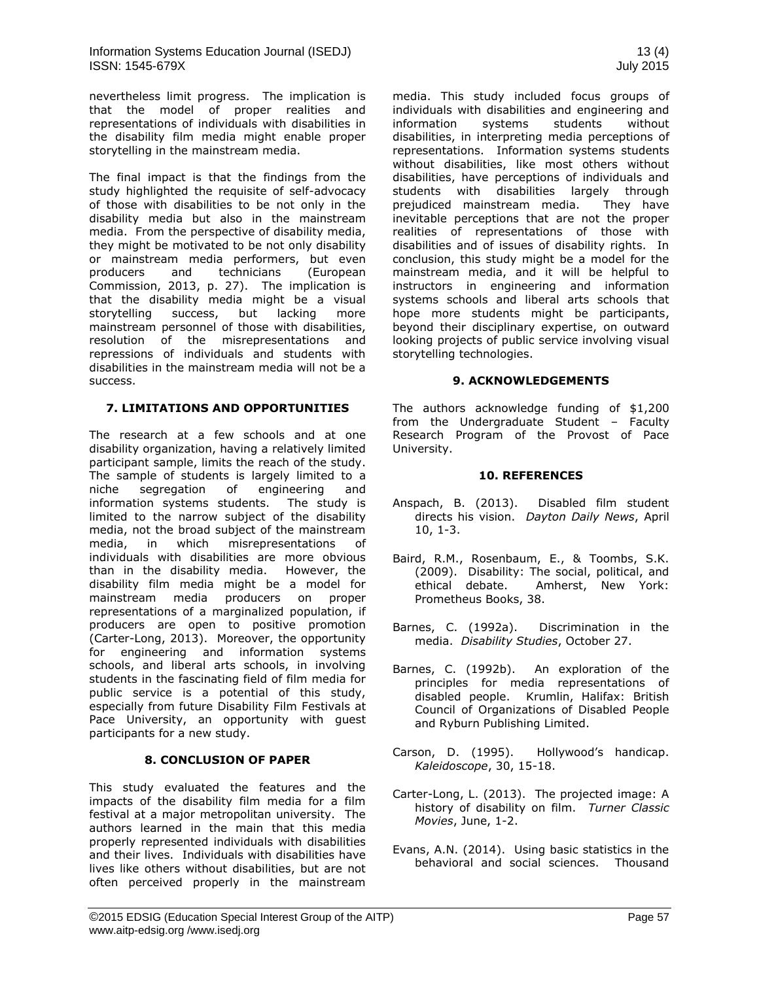nevertheless limit progress. The implication is that the model of proper realities and representations of individuals with disabilities in the disability film media might enable proper storytelling in the mainstream media.

The final impact is that the findings from the study highlighted the requisite of self-advocacy of those with disabilities to be not only in the disability media but also in the mainstream media. From the perspective of disability media, they might be motivated to be not only disability or mainstream media performers, but even producers and technicians (European Commission, 2013, p. 27). The implication is that the disability media might be a visual storytelling success, but lacking more mainstream personnel of those with disabilities, resolution of the misrepresentations and repressions of individuals and students with disabilities in the mainstream media will not be a success.

#### **7. LIMITATIONS AND OPPORTUNITIES**

The research at a few schools and at one disability organization, having a relatively limited participant sample, limits the reach of the study. The sample of students is largely limited to a niche segregation of engineering and information systems students. The study is limited to the narrow subject of the disability media, not the broad subject of the mainstream media, in which misrepresentations of individuals with disabilities are more obvious than in the disability media. However, the disability film media might be a model for mainstream media producers on proper representations of a marginalized population, if producers are open to positive promotion (Carter-Long, 2013). Moreover, the opportunity for engineering and information systems schools, and liberal arts schools, in involving students in the fascinating field of film media for public service is a potential of this study, especially from future Disability Film Festivals at Pace University, an opportunity with guest participants for a new study.

#### **8. CONCLUSION OF PAPER**

This study evaluated the features and the impacts of the disability film media for a film festival at a major metropolitan university. The authors learned in the main that this media properly represented individuals with disabilities and their lives. Individuals with disabilities have lives like others without disabilities, but are not often perceived properly in the mainstream

media. This study included focus groups of individuals with disabilities and engineering and information systems students without disabilities, in interpreting media perceptions of representations. Information systems students without disabilities, like most others without disabilities, have perceptions of individuals and students with disabilities largely through prejudiced mainstream media. They have inevitable perceptions that are not the proper realities of representations of those with disabilities and of issues of disability rights. In conclusion, this study might be a model for the mainstream media, and it will be helpful to instructors in engineering and information systems schools and liberal arts schools that hope more students might be participants, beyond their disciplinary expertise, on outward looking projects of public service involving visual storytelling technologies.

#### **9. ACKNOWLEDGEMENTS**

The authors acknowledge funding of \$1,200 from the Undergraduate Student – Faculty Research Program of the Provost of Pace University.

#### **10. REFERENCES**

- Anspach, B. (2013). Disabled film student directs his vision. *Dayton Daily News*, April 10, 1-3.
- Baird, R.M., Rosenbaum, E., & Toombs, S.K. (2009). Disability: The social, political, and ethical debate. Amherst, New York: Prometheus Books, 38.
- Barnes, C. (1992a). Discrimination in the media. *Disability Studies*, October 27.
- Barnes, C. (1992b). An exploration of the principles for media representations of disabled people. Krumlin, Halifax: British Council of Organizations of Disabled People and Ryburn Publishing Limited.
- Carson, D. (1995). Hollywood's handicap. *Kaleidoscope*, 30, 15-18.
- Carter-Long, L. (2013). The projected image: A history of disability on film. *Turner Classic Movies*, June, 1-2.
- Evans, A.N. (2014). Using basic statistics in the behavioral and social sciences. Thousand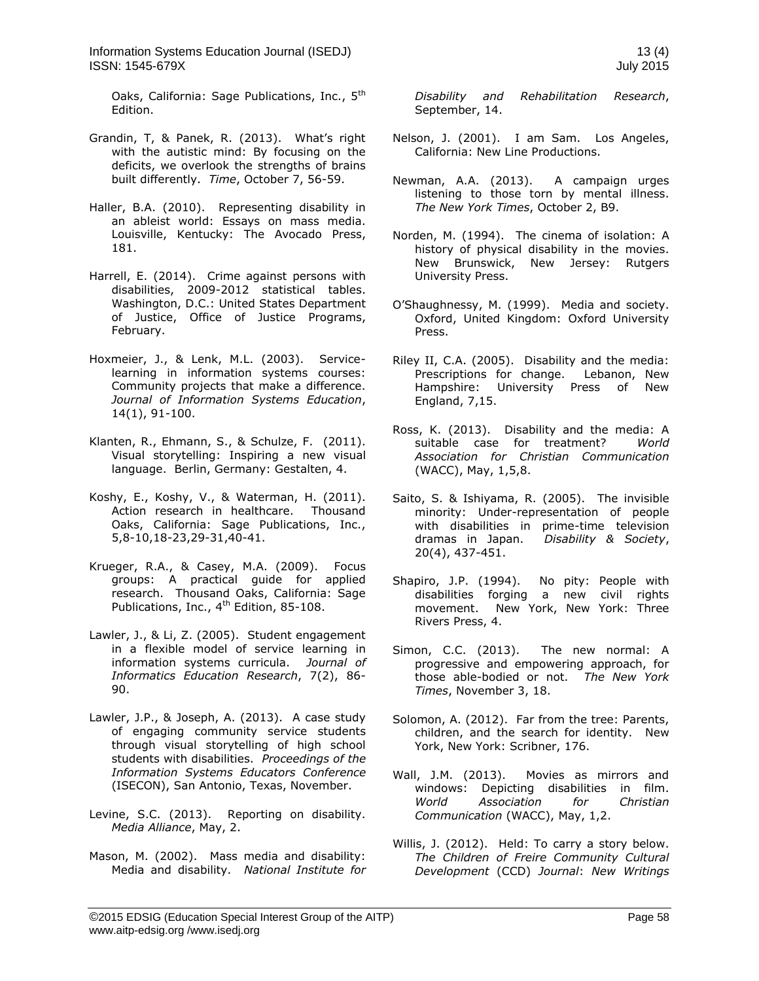Information Systems Education Journal (ISEDJ) 13 (4) ISSN: 1545-679X July 2015

Oaks, California: Sage Publications, Inc., 5<sup>th</sup> Edition.

- Grandin, T, & Panek, R. (2013). What's right with the autistic mind: By focusing on the deficits, we overlook the strengths of brains built differently. *Time*, October 7, 56-59.
- Haller, B.A. (2010). Representing disability in an ableist world: Essays on mass media. Louisville, Kentucky: The Avocado Press, 181.
- Harrell, E. (2014). Crime against persons with disabilities, 2009-2012 statistical tables. Washington, D.C.: United States Department of Justice, Office of Justice Programs, February.
- Hoxmeier, J., & Lenk, M.L. (2003). Servicelearning in information systems courses: Community projects that make a difference. *Journal of Information Systems Education*, 14(1), 91-100.
- Klanten, R., Ehmann, S., & Schulze, F. (2011). Visual storytelling: Inspiring a new visual language. Berlin, Germany: Gestalten, 4.
- Koshy, E., Koshy, V., & Waterman, H. (2011). Action research in healthcare. Thousand Oaks, California: Sage Publications, Inc., 5,8-10,18-23,29-31,40-41.
- Krueger, R.A., & Casey, M.A. (2009). Focus groups: A practical guide for applied research. Thousand Oaks, California: Sage Publications, Inc., 4<sup>th</sup> Edition, 85-108.
- Lawler, J., & Li, Z. (2005). Student engagement in a flexible model of service learning in information systems curricula. *Journal of Informatics Education Research*, 7(2), 86- 90.
- Lawler, J.P., & Joseph, A. (2013). A case study of engaging community service students through visual storytelling of high school students with disabilities. *Proceedings of the Information Systems Educators Conference* (ISECON), San Antonio, Texas, November.
- Levine, S.C. (2013). Reporting on disability. *Media Alliance*, May, 2.
- Mason, M. (2002). Mass media and disability: Media and disability. *National Institute for*

*Disability and Rehabilitation Research*, September, 14.

- Nelson, J. (2001). I am Sam. Los Angeles, California: New Line Productions.
- Newman, A.A. (2013). A campaign urges listening to those torn by mental illness. *The New York Times*, October 2, B9.
- Norden, M. (1994). The cinema of isolation: A history of physical disability in the movies. New Brunswick, New Jersey: Rutgers University Press.
- O'Shaughnessy, M. (1999). Media and society. Oxford, United Kingdom: Oxford University Press.
- Riley II, C.A. (2005). Disability and the media: Prescriptions for change. Lebanon, New Hampshire: University Press of New England, 7,15.
- Ross, K. (2013). Disability and the media: A suitable case for treatment? World suitable case for treatment? *Association for Christian Communication* (WACC), May, 1,5,8.
- Saito, S. & Ishiyama, R. (2005). The invisible minority: Under-representation of people with disabilities in prime-time television dramas in Japan. *Disability & Society*, 20(4), 437-451.
- Shapiro, J.P. (1994). No pity: People with disabilities forging a new civil rights movement. New York, New York: Three Rivers Press, 4.
- Simon, C.C. (2013). The new normal: A progressive and empowering approach, for those able-bodied or not. *The New York Times*, November 3, 18.
- Solomon, A. (2012). Far from the tree: Parents, children, and the search for identity. New York, New York: Scribner, 176.
- Wall, J.M. (2013). Movies as mirrors and windows: Depicting disabilities in film. *World Association for Christian Communication* (WACC), May, 1,2.
- Willis, J. (2012). Held: To carry a story below. *The Children of Freire Community Cultural Development* (CCD) *Journal*: *New Writings*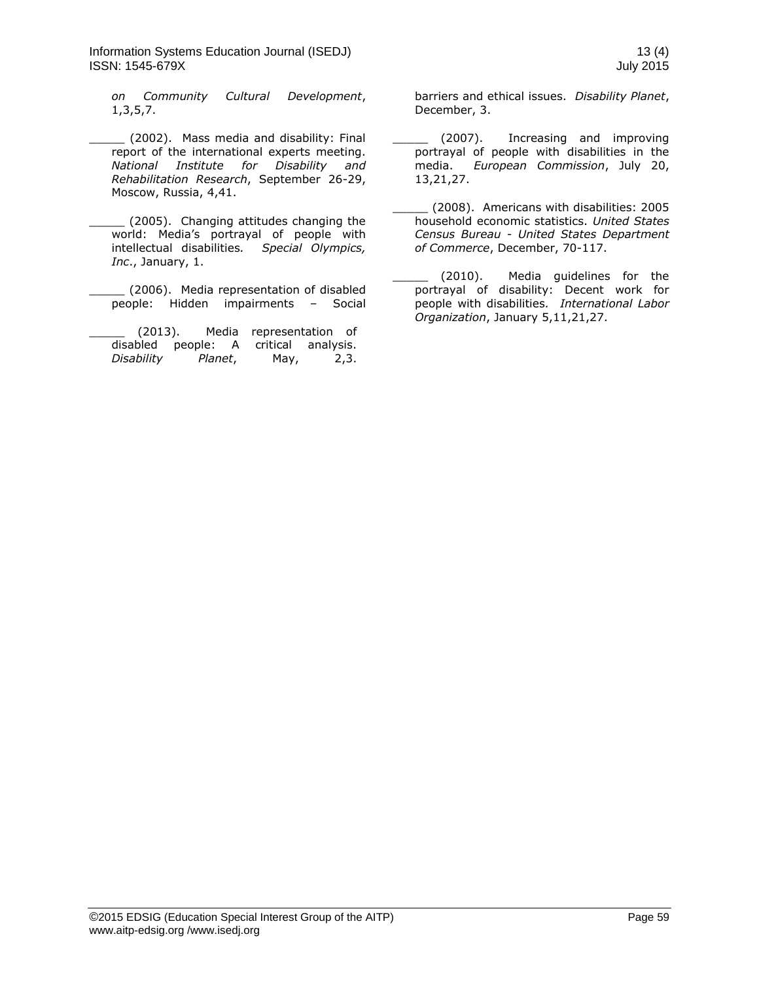Information Systems Education Journal (ISEDJ) 13 (4) ISSN: 1545-679X July 2015

*on Community Cultural Development*, 1,3,5,7.

\_\_\_\_\_ (2002). Mass media and disability: Final report of the international experts meeting. *National Institute for Disability and Rehabilitation Research*, September 26-29, Moscow, Russia, 4,41.

(2005). Changing attitudes changing the world: Media's portrayal of people with intellectual disabilities*. Special Olympics, Inc*., January, 1.

\_\_\_\_\_ (2006). Media representation of disabled people: Hidden impairments – Social

(2013). Media representation of disabled people: A critical analysis. *Disability Planet*, May, 2,3.

barriers and ethical issues. *Disability Planet*, December, 3.

- (2007). Increasing and improving portrayal of people with disabilities in the media. *European Commission*, July 20, 13,21,27.
- \_\_\_\_\_ (2008). Americans with disabilities: 2005 household economic statistics. *United States Census Bureau* - *United States Department of Commerce*, December, 70-117.

(2010). Media guidelines for the portrayal of disability: Decent work for people with disabilities*. International Labor Organization*, January 5,11,21,27.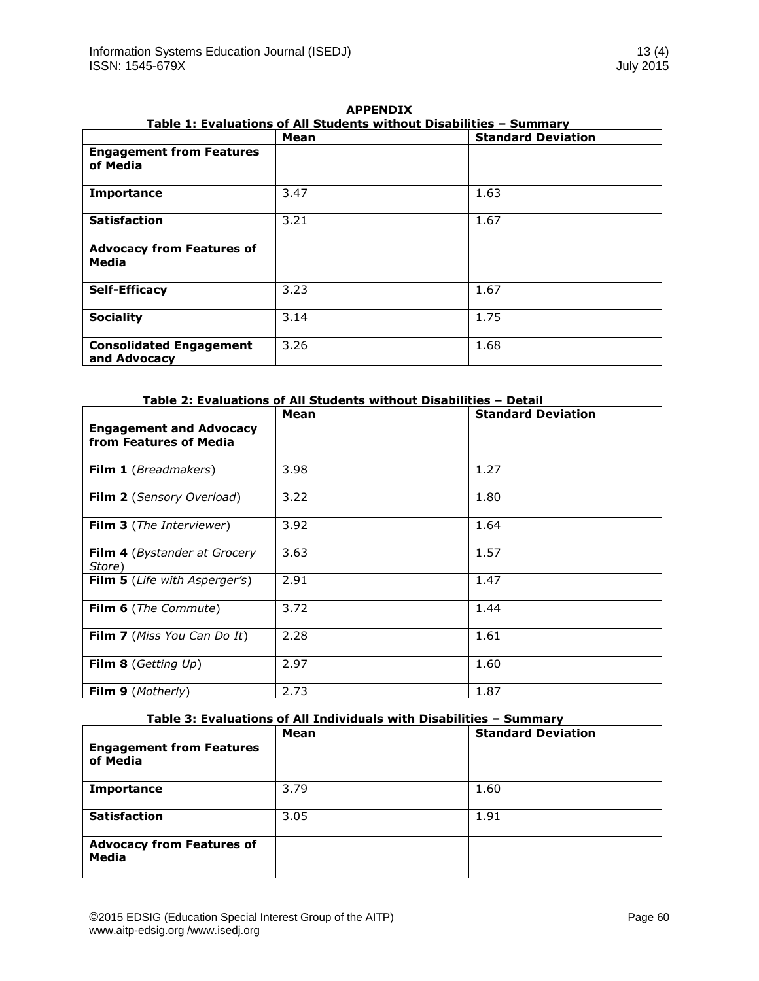|                                                | Table 1: Evaluations of All Students Without Disabilities – Summary<br>Mean | <b>Standard Deviation</b> |
|------------------------------------------------|-----------------------------------------------------------------------------|---------------------------|
| <b>Engagement from Features</b><br>of Media    |                                                                             |                           |
| <b>Importance</b>                              | 3.47                                                                        | 1.63                      |
| <b>Satisfaction</b>                            | 3.21                                                                        | 1.67                      |
| <b>Advocacy from Features of</b><br>Media      |                                                                             |                           |
| <b>Self-Efficacy</b>                           | 3.23                                                                        | 1.67                      |
| <b>Sociality</b>                               | 3.14                                                                        | 1.75                      |
| <b>Consolidated Engagement</b><br>and Advocacy | 3.26                                                                        | 1.68                      |

**APPENDIX Table 1: Evaluations of All Students without Disabilities – Summary** 

|                                                          | Mean | <b>Standard Deviation</b> |
|----------------------------------------------------------|------|---------------------------|
| <b>Engagement and Advocacy</b><br>from Features of Media |      |                           |
| Film 1 (Breadmakers)                                     | 3.98 | 1.27                      |
| <b>Film 2</b> (Sensory Overload)                         | 3.22 | 1.80                      |
| <b>Film 3</b> (The Interviewer)                          | 3.92 | 1.64                      |
| <b>Film 4</b> ( <i>Bystander at Grocery</i><br>Store)    | 3.63 | 1.57                      |
| Film 5 (Life with Asperger's)                            | 2.91 | 1.47                      |
| <b>Film 6</b> (The Commute)                              | 3.72 | 1.44                      |
| <b>Film 7</b> (Miss You Can Do It)                       | 2.28 | 1.61                      |
| <b>Film 8</b> (Getting $Up$ )                            | 2.97 | 1.60                      |
| Film 9 (Motherly)                                        | 2.73 | 1.87                      |

# **Table 3: Evaluations of All Individuals with Disabilities – Summary**

|                                                  | Mean | <b>Standard Deviation</b> |
|--------------------------------------------------|------|---------------------------|
| <b>Engagement from Features</b><br>of Media      |      |                           |
| <b>Importance</b>                                | 3.79 | 1.60                      |
| <b>Satisfaction</b>                              | 3.05 | 1.91                      |
| <b>Advocacy from Features of</b><br><b>Media</b> |      |                           |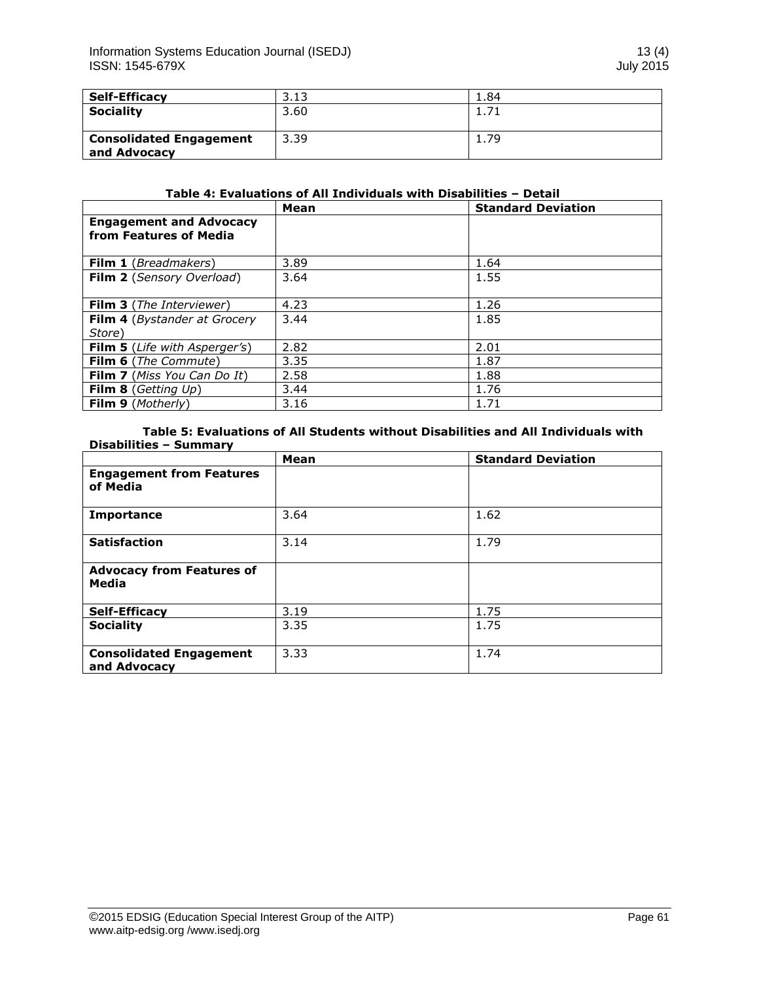| <b>Self-Efficacy</b>                           | 3.13 | 1.84 |
|------------------------------------------------|------|------|
| <b>Sociality</b>                               | 3.60 |      |
| <b>Consolidated Engagement</b><br>and Advocacy | 3.39 | 1.79 |

#### **Table 4: Evaluations of All Individuals with Disabilities – Detail**

|                                                          | Mean | <b>Standard Deviation</b> |
|----------------------------------------------------------|------|---------------------------|
| <b>Engagement and Advocacy</b><br>from Features of Media |      |                           |
|                                                          |      |                           |
| <b>Film 1</b> ( <i>Breadmakers</i> )                     | 3.89 | 1.64                      |
| Film 2 (Sensory Overload)                                | 3.64 | 1.55                      |
| <b>Film 3</b> (The Interviewer)                          | 4.23 | 1.26                      |
| Film 4 (Bystander at Grocery                             | 3.44 | 1.85                      |
| Store)                                                   |      |                           |
| <b>Film 5</b> ( <i>Life with Asperger's</i> )            | 2.82 | 2.01                      |
| Film 6 (The Commute)                                     | 3.35 | 1.87                      |
| <b>Film 7</b> (Miss You Can Do It)                       | 2.58 | 1.88                      |
| Film 8 (Getting $Up$ )                                   | 3.44 | 1.76                      |
| <b>Film 9</b> (Motherly)                                 | 3.16 | 1.71                      |

# **Table 5: Evaluations of All Students without Disabilities and All Individuals with Disabilities – Summary**

|                                                | Mean | <b>Standard Deviation</b> |
|------------------------------------------------|------|---------------------------|
| <b>Engagement from Features</b><br>of Media    |      |                           |
| <b>Importance</b>                              | 3.64 | 1.62                      |
| <b>Satisfaction</b>                            | 3.14 | 1.79                      |
| <b>Advocacy from Features of</b><br>Media      |      |                           |
| <b>Self-Efficacy</b>                           | 3.19 | 1.75                      |
| <b>Sociality</b>                               | 3.35 | 1.75                      |
| <b>Consolidated Engagement</b><br>and Advocacy | 3.33 | 1.74                      |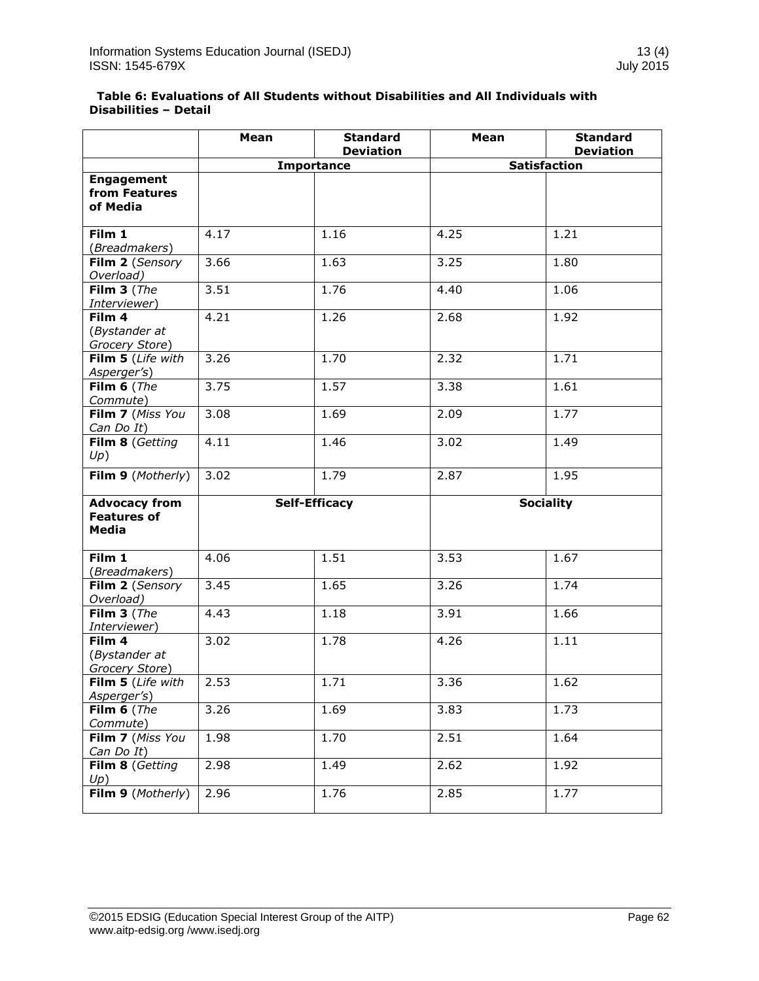| Table 6: Evaluations of All Students without Disabilities and All Individuals with |  |
|------------------------------------------------------------------------------------|--|
| <b>Disabilities - Detail</b>                                                       |  |

|                                                     | Mean | <b>Standard</b><br><b>Deviation</b> | Mean | <b>Standard</b><br><b>Deviation</b> |
|-----------------------------------------------------|------|-------------------------------------|------|-------------------------------------|
|                                                     |      | <b>Importance</b>                   |      | <b>Satisfaction</b>                 |
| <b>Engagement</b><br>from Features<br>of Media      |      |                                     |      |                                     |
| Film 1<br>(Breadmakers)                             | 4.17 | 1.16                                | 4.25 | 1.21                                |
| Film 2 (Sensory<br>Overload)                        | 3.66 | 1.63                                | 3.25 | 1.80                                |
| Film $3$ (The<br>Interviewer)                       | 3.51 | 1.76                                | 4.40 | 1.06                                |
| Film 4<br>(Bystander at<br>Grocery Store)           | 4.21 | 1.26                                | 2.68 | 1.92                                |
| Film 5 (Life with<br>Asperger's)                    | 3.26 | 1.70                                | 2.32 | 1.71                                |
| Film $6$ (The<br>Commute)                           | 3.75 | 1.57                                | 3.38 | 1.61                                |
| Film 7 (Miss You<br>Can Do It)                      | 3.08 | 1.69                                | 2.09 | 1.77                                |
| Film 8 (Getting<br>Up)                              | 4.11 | 1.46                                | 3.02 | 1.49                                |
| Film 9 (Motherly)                                   | 3.02 | 1.79                                | 2.87 | 1.95                                |
| <b>Advocacy from</b><br><b>Features of</b><br>Media |      | <b>Self-Efficacy</b>                |      | <b>Sociality</b>                    |
| Film 1<br>(Breadmakers)                             | 4.06 | 1.51                                | 3.53 | 1.67                                |
| Film 2 (Sensory<br>Overload)                        | 3.45 | 1.65                                | 3.26 | 1.74                                |
| Film $3$ (The<br>Interviewer)                       | 4.43 | 1.18                                | 3.91 | 1.66                                |
| Film 4<br>(Bystander at<br>Grocery Store)           | 3.02 | 1.78                                | 4.26 | 1.11                                |
| Film 5 (Life with<br>Asperger's)                    | 2.53 | 1.71                                | 3.36 | 1.62                                |
| Film $6$ (The<br>Commute)                           | 3.26 | 1.69                                | 3.83 | 1.73                                |
| Film 7 (Miss You<br>Can Do It)                      | 1.98 | 1.70                                | 2.51 | 1.64                                |
| Film 8 (Getting<br>Up)                              | 2.98 | 1.49                                | 2.62 | 1.92                                |
| Film 9 (Motherly)                                   | 2.96 | 1.76                                | 2.85 | 1.77                                |